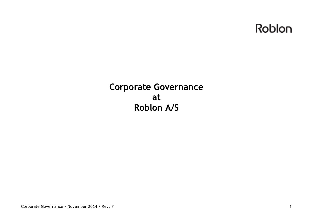

## **Corporate Governance at Roblon A/S**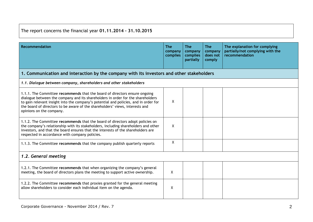The report concerns the financial year **01.11.2014 – 31.10.2015**

| <b>Recommendation</b>                                                                                                                                                                                                                                                                                                                                             | <b>The</b><br>company<br>complies | <b>The</b><br>company<br>complies<br>partially | <b>The</b><br>company<br>does not<br>comply | The explanation for complying<br>partially/not complying with the<br>recommendation |  |  |
|-------------------------------------------------------------------------------------------------------------------------------------------------------------------------------------------------------------------------------------------------------------------------------------------------------------------------------------------------------------------|-----------------------------------|------------------------------------------------|---------------------------------------------|-------------------------------------------------------------------------------------|--|--|
| 1. Communication and interaction by the company with its investors and other stakeholders                                                                                                                                                                                                                                                                         |                                   |                                                |                                             |                                                                                     |  |  |
| 1.1. Dialogue between company, shareholders and other stakeholders                                                                                                                                                                                                                                                                                                |                                   |                                                |                                             |                                                                                     |  |  |
| 1.1.1. The Committee recommends that the board of directors ensure ongoing<br>dialogue between the company and its shareholders in order for the shareholders<br>to gain relevant insight into the company's potential and policies, and in order for<br>the board of directors to be aware of the shareholders' views, interests and<br>opinions on the company. | $\mathsf{X}$                      |                                                |                                             |                                                                                     |  |  |
| 1.1.2. The Committee recommends that the board of directors adopt policies on<br>the company's relationship with its stakeholders, including shareholders and other<br>investors, and that the board ensures that the interests of the shareholders are<br>respected in accordance with company policies.                                                         | X                                 |                                                |                                             |                                                                                     |  |  |
| 1.1.3. The Committee recommends that the company publish quarterly reports                                                                                                                                                                                                                                                                                        | X                                 |                                                |                                             |                                                                                     |  |  |
| 1.2. General meeting                                                                                                                                                                                                                                                                                                                                              |                                   |                                                |                                             |                                                                                     |  |  |
| 1.2.1. The Committee recommends that when organizing the company's general<br>meeting, the board of directors plans the meeting to support active ownership.                                                                                                                                                                                                      | X                                 |                                                |                                             |                                                                                     |  |  |
| 1.2.2. The Committee recommends that proxies granted for the general meeting<br>allow shareholders to consider each individual item on the agenda.                                                                                                                                                                                                                | X                                 |                                                |                                             |                                                                                     |  |  |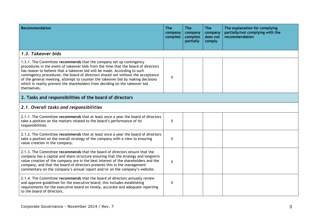| Recommendation                                                                                                                                                                                                                                                                                                                                                                                                                                                                                              | <b>The</b><br>company<br>complies | <b>The</b><br>company<br>complies<br>partially | <b>The</b><br>company<br>does not<br>comply | The explanation for complying<br>partially/not complying with the<br>recommendation |
|-------------------------------------------------------------------------------------------------------------------------------------------------------------------------------------------------------------------------------------------------------------------------------------------------------------------------------------------------------------------------------------------------------------------------------------------------------------------------------------------------------------|-----------------------------------|------------------------------------------------|---------------------------------------------|-------------------------------------------------------------------------------------|
| 1.3. Takeover bids                                                                                                                                                                                                                                                                                                                                                                                                                                                                                          |                                   |                                                |                                             |                                                                                     |
| 1.3.1. The Committee recommends that the company set up contingency<br>procedures in the event of takeover bids from the time that the board of directors<br>has reason to believe that a takeover bid will be made. According to such<br>contingency procedures, the board of directors should not without the acceptance<br>of the general meeting, attempt to counter the takeover bid by making decisions<br>which in reality prevent the shareholders from deciding on the takeover bid<br>themselves. | X                                 |                                                |                                             |                                                                                     |
| 2. Tasks and responsibilities of the board of directors                                                                                                                                                                                                                                                                                                                                                                                                                                                     |                                   |                                                |                                             |                                                                                     |
| 2.1. Overall tasks and responsibilities                                                                                                                                                                                                                                                                                                                                                                                                                                                                     |                                   |                                                |                                             |                                                                                     |
| 2.1.1. The Committee recommends that at least once a year the board of directors<br>take a position on the matters related to the board's performance of its<br>responsibilities.                                                                                                                                                                                                                                                                                                                           | χ                                 |                                                |                                             |                                                                                     |
| 2.1.2. The Committee recommends that at least once a year the board of directors<br>take a position on the overall strategy of the company with a view to ensuring<br>value creation in the company.                                                                                                                                                                                                                                                                                                        | X                                 |                                                |                                             |                                                                                     |
| 2.1.3. The Committee recommends that the board of directors ensure that the<br>company has a capital and share structure ensuring that the strategy and longterm<br>value creation of the company are in the best interest of the shareholders and the<br>company, and that the board of directors presents this in the management<br>commentary on the company's annual report and/or on the company's website.                                                                                            | X                                 |                                                |                                             |                                                                                     |
| 2.1.4. The Committee recommends that the board of directors annually review<br>and approve guidelines for the executive board; this includes establishing<br>requirements for the executive board on timely, accurate and adequate reporting<br>to the board of directors.                                                                                                                                                                                                                                  | X                                 |                                                |                                             |                                                                                     |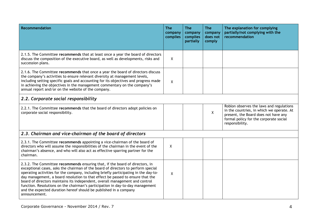| <b>Recommendation</b>                                                                                                                                                                                                                                                                                                                                                                                                                                                                                                                                                                               | <b>The</b><br>company<br>complies | <b>The</b><br>company<br>complies<br>partially | <b>The</b><br>company<br>does not<br>comply | The explanation for complying<br>partially/not complying with the<br>recommendation                                                                                                        |
|-----------------------------------------------------------------------------------------------------------------------------------------------------------------------------------------------------------------------------------------------------------------------------------------------------------------------------------------------------------------------------------------------------------------------------------------------------------------------------------------------------------------------------------------------------------------------------------------------------|-----------------------------------|------------------------------------------------|---------------------------------------------|--------------------------------------------------------------------------------------------------------------------------------------------------------------------------------------------|
| 2.1.5. The Committee recommends that at least once a year the board of directors<br>discuss the composition of the executive board, as well as developments, risks and<br>succession plans.                                                                                                                                                                                                                                                                                                                                                                                                         | X                                 |                                                |                                             |                                                                                                                                                                                            |
| 2.1.6. The Committee recommends that once a year the board of directors discuss<br>the company's activities to ensure relevant diversity at management levels,<br>including setting specific goals and accounting for its objectives and progress made<br>in achieving the objectives in the management commentary on the company's<br>annual report and/or on the website of the company.                                                                                                                                                                                                          | X                                 |                                                |                                             |                                                                                                                                                                                            |
| 2.2. Corporate social responsibility                                                                                                                                                                                                                                                                                                                                                                                                                                                                                                                                                                |                                   |                                                |                                             |                                                                                                                                                                                            |
| 2.2.1. The Committee recommends that the board of directors adopt policies on<br>corporate social responsibility.                                                                                                                                                                                                                                                                                                                                                                                                                                                                                   |                                   |                                                | $\mathsf{X}$                                | Roblon observes the laws and regulations<br>in the countries, in which we operate. At<br>present, the Board does not have any<br>formal policy for the corporate social<br>responsibility. |
| 2.3. Chairman and vice-chairman of the board of directors                                                                                                                                                                                                                                                                                                                                                                                                                                                                                                                                           |                                   |                                                |                                             |                                                                                                                                                                                            |
| 2.3.1. The Committee recommends appointing a vice-chairman of the board of<br>directors who will assume the responsibilities of the chairman in the event of the<br>chairman's absence, and who will also act as effective sparring partner for the<br>chairman.                                                                                                                                                                                                                                                                                                                                    | X                                 |                                                |                                             |                                                                                                                                                                                            |
| 2.3.2. The Committee recommends ensuring that, if the board of directors, in<br>exceptional cases, asks the chairman of the board of directors to perform special<br>operating activities for the company, including briefly participating in the day-to-<br>day management, a board resolution to that effect be passed to ensure that the<br>board of directors maintains its independent, overall management and control<br>function. Resolutions on the chairman's participation in day-to-day management<br>and the expected duration hereof should be published in a company<br>announcement. | X                                 |                                                |                                             |                                                                                                                                                                                            |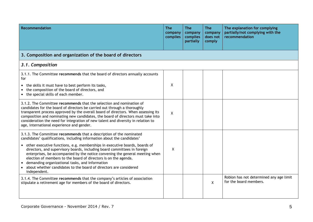| <b>Recommendation</b>                                                                                                                                                                                                                                                                                                                                                                                                                                                                                                                                                                                 | <b>The</b><br>company<br>complies | <b>The</b><br>company<br>complies<br>partially | <b>The</b><br>company<br>does not<br>comply | The explanation for complying<br>partially/not complying with the<br>recommendation |
|-------------------------------------------------------------------------------------------------------------------------------------------------------------------------------------------------------------------------------------------------------------------------------------------------------------------------------------------------------------------------------------------------------------------------------------------------------------------------------------------------------------------------------------------------------------------------------------------------------|-----------------------------------|------------------------------------------------|---------------------------------------------|-------------------------------------------------------------------------------------|
| 3. Composition and organization of the board of directors                                                                                                                                                                                                                                                                                                                                                                                                                                                                                                                                             |                                   |                                                |                                             |                                                                                     |
| 3.1. Composition                                                                                                                                                                                                                                                                                                                                                                                                                                                                                                                                                                                      |                                   |                                                |                                             |                                                                                     |
| 3.1.1. The Committee recommends that the board of directors annually accounts<br>for<br>• the skills it must have to best perform its tasks,<br>the composition of the board of directors, and<br>• the special skills of each member.                                                                                                                                                                                                                                                                                                                                                                | Χ                                 |                                                |                                             |                                                                                     |
| 3.1.2. The Committee recommends that the selection and nomination of<br>candidates for the board of directors be carried out through a thoroughly<br>transparent process approved by the overall board of directors. When assessing its<br>composition and nominating new candidates, the board of directors must take into<br>consideration the need for integration of new talent and diversity in relation to<br>age, international experience and gender.                                                                                                                                         | X                                 |                                                |                                             |                                                                                     |
| 3.1.3. The Committee recommends that a description of the nominated<br>candidates' qualifications, including information about the candidates'<br>• other executive functions, e.g. memberships in executive boards, boards of<br>directors, and supervisory boards, including board committees in foreign<br>enterprises, be accompanied by the notice convening the general meeting when<br>election of members to the board of directors is on the agenda.<br>demanding organizational tasks, and information<br>about whether candidates to the board of directors are considered<br>independent. | X                                 |                                                |                                             |                                                                                     |
| 3.1.4. The Committee recommends that the company's articles of association<br>stipulate a retirement age for members of the board of directors.                                                                                                                                                                                                                                                                                                                                                                                                                                                       |                                   |                                                | X                                           | Roblon has not determined any age limit<br>for the board members.                   |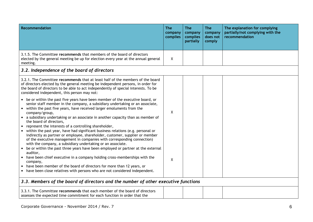| Recommendation                                                                                                                                                                                                                                                                                                                                                                                    | <b>The</b><br>company<br>complies | <b>The</b><br>company<br>complies<br>partially | <b>The</b><br>company<br>does not<br>comply | The explanation for complying<br>partially/not complying with the<br>recommendation |
|---------------------------------------------------------------------------------------------------------------------------------------------------------------------------------------------------------------------------------------------------------------------------------------------------------------------------------------------------------------------------------------------------|-----------------------------------|------------------------------------------------|---------------------------------------------|-------------------------------------------------------------------------------------|
| 3.1.5. The Committee recommends that members of the board of directors<br>elected by the general meeting be up for election every year at the annual general<br>meeting.                                                                                                                                                                                                                          | X                                 |                                                |                                             |                                                                                     |
| 3.2. Independence of the board of directors                                                                                                                                                                                                                                                                                                                                                       |                                   |                                                |                                             |                                                                                     |
| 3.2.1. The Committee recommends that at least half of the members of the board<br>of directors elected by the general meeting be independent persons, in order for<br>the board of directors to be able to act independently of special interests. To be<br>considered independent, this person may not:                                                                                          |                                   |                                                |                                             |                                                                                     |
| • be or within the past five years have been member of the executive board, or<br>senior staff member in the company, a subsidiary undertaking or an associate,<br>• within the past five years, have received larger emoluments from the<br>company/group,<br>• a subsidiary undertaking or an associate in another capacity than as member of                                                   | X                                 |                                                |                                             |                                                                                     |
| the board of directors,<br>• represent the interests of a controlling shareholder,<br>• within the past year, have had significant business relations (e.g. personal or<br>indirectly as partner or employee, shareholder, customer, supplier or member<br>of the executive management in companies with corresponding connection)<br>with the company, a subsidiary undertaking or an associate. |                                   |                                                |                                             |                                                                                     |
| be or within the past three years have been employed or partner at the external<br>auditor,<br>• have been chief executive in a company holding cross-memberships with the<br>company,<br>have been member of the board of directors for more than 12 years, or<br>have been close relatives with persons who are not considered independent.                                                     | X                                 |                                                |                                             |                                                                                     |
| 3.3. Members of the board of directors and the number of other executive functions                                                                                                                                                                                                                                                                                                                |                                   |                                                |                                             |                                                                                     |
| 3.3.1. The Committee recommends that each member of the board of directors<br>assesses the expected time commitment for each function in order that the                                                                                                                                                                                                                                           |                                   |                                                |                                             |                                                                                     |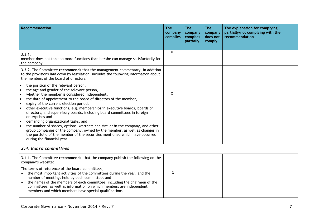| Recommendation                                                                                                                                                                                                                                                                                                                                                                                                                                                                                                                                                                                                                                                                                                                                                      | <b>The</b><br>company<br>complies | <b>The</b><br>company<br>complies<br>partially | <b>The</b><br>company<br>does not<br>comply | The explanation for complying<br>partially/not complying with the<br>recommendation |
|---------------------------------------------------------------------------------------------------------------------------------------------------------------------------------------------------------------------------------------------------------------------------------------------------------------------------------------------------------------------------------------------------------------------------------------------------------------------------------------------------------------------------------------------------------------------------------------------------------------------------------------------------------------------------------------------------------------------------------------------------------------------|-----------------------------------|------------------------------------------------|---------------------------------------------|-------------------------------------------------------------------------------------|
| 3.3.1.<br>member does not take on more functions than he/she can manage satisfactorily for<br>the company.                                                                                                                                                                                                                                                                                                                                                                                                                                                                                                                                                                                                                                                          | Χ                                 |                                                |                                             |                                                                                     |
| 3.3.2. The Committee recommends that the management commentary, in addition<br>to the provisions laid down by legislation, includes the following information about<br>the members of the board of directors:                                                                                                                                                                                                                                                                                                                                                                                                                                                                                                                                                       |                                   |                                                |                                             |                                                                                     |
| the position of the relevant person,<br>the age and gender of the relevant person,<br>whether the member is considered independent,<br>the date of appointment to the board of directors of the member,<br>l.<br>expiry of the current election period,<br>le<br>other executive functions, e.g. memberships in executive boards, boards of<br>I۰<br>directors, and supervisory boards, including board committees in foreign<br>enterprises and<br>demanding organizational tasks, and<br>the number of shares, options, warrants and similar in the company, and other<br>group companies of the company, owned by the member, as well as changes in<br>the portfolio of the member of the securities mentioned which have occurred<br>during the financial year. | X                                 |                                                |                                             |                                                                                     |
| 3.4. Board committees                                                                                                                                                                                                                                                                                                                                                                                                                                                                                                                                                                                                                                                                                                                                               |                                   |                                                |                                             |                                                                                     |
| 3.4.1. The Committee recommends that the company publish the following on the<br>company's website:<br>The terms of reference of the board committees,<br>the most important activities of the committees during the year, and the<br>number of meetings held by each committee, and<br>the names of the members of each committee, including the chairmen of the<br>$\bullet$<br>committees, as well as information on which members are independent<br>members and which members have special qualifications.                                                                                                                                                                                                                                                     | X                                 |                                                |                                             |                                                                                     |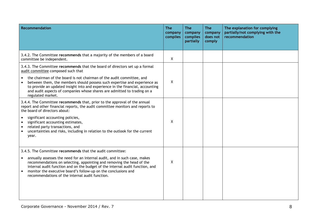| <b>Recommendation</b>                                                                                                                                                                                                                                                                                                                                    | <b>The</b><br>company<br>complies | <b>The</b><br>company<br>complies<br>partially | <b>The</b><br>company<br>does not<br>comply | The explanation for complying<br>partially/not complying with the<br>recommendation |
|----------------------------------------------------------------------------------------------------------------------------------------------------------------------------------------------------------------------------------------------------------------------------------------------------------------------------------------------------------|-----------------------------------|------------------------------------------------|---------------------------------------------|-------------------------------------------------------------------------------------|
| 3.4.2. The Committee recommends that a majority of the members of a board<br>committee be independent.                                                                                                                                                                                                                                                   | X                                 |                                                |                                             |                                                                                     |
| 3.4.3. The Committee recommends that the board of directors set up a formal<br>audit committee composed such that                                                                                                                                                                                                                                        |                                   |                                                |                                             |                                                                                     |
| the chairman of the board is not chairman of the audit committee, and<br>between them, the members should possess such expertise and experience as<br>to provide an updated insight into and experience in the financial, accounting<br>and audit aspects of companies whose shares are admitted to trading on a<br>regulated market.                    | X                                 |                                                |                                             |                                                                                     |
| 3.4.4. The Committee recommends that, prior to the approval of the annual<br>report and other financial reports, the audit committee monitors and reports to<br>the board of directors about:                                                                                                                                                            |                                   |                                                |                                             |                                                                                     |
| significant accounting policies,<br>significant accounting estimates,<br>related party transactions, and<br>uncertainties and risks, including in relation to the outlook for the current<br>year.                                                                                                                                                       | X                                 |                                                |                                             |                                                                                     |
| 3.4.5. The Committee recommends that the audit committee:                                                                                                                                                                                                                                                                                                |                                   |                                                |                                             |                                                                                     |
| annually assesses the need for an internal audit, and in such case, makes<br>recommendations on selecting, appointing and removing the head of the<br>internal audit function and on the budget of the internal audit function, and<br>monitor the executive board's follow-up on the conclusions and<br>recommendations of the internal audit function. | X                                 |                                                |                                             |                                                                                     |
|                                                                                                                                                                                                                                                                                                                                                          |                                   |                                                |                                             |                                                                                     |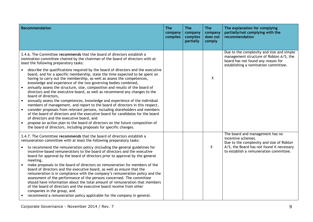| Recommendation                                                                                                                                                                                                                                                                                                                                                                                                                                                                                                                                                                                                                                                                                                                                                                                                                                                                                                                                                                                                                                                                                                                                                                                                                                            | <b>The</b><br>company<br>complies | <b>The</b><br>company<br>complies<br>partially | <b>The</b><br>company<br>does not<br>comply | The explanation for complying<br>partially/not complying with the<br>recommendation                                                                                                      |
|-----------------------------------------------------------------------------------------------------------------------------------------------------------------------------------------------------------------------------------------------------------------------------------------------------------------------------------------------------------------------------------------------------------------------------------------------------------------------------------------------------------------------------------------------------------------------------------------------------------------------------------------------------------------------------------------------------------------------------------------------------------------------------------------------------------------------------------------------------------------------------------------------------------------------------------------------------------------------------------------------------------------------------------------------------------------------------------------------------------------------------------------------------------------------------------------------------------------------------------------------------------|-----------------------------------|------------------------------------------------|---------------------------------------------|------------------------------------------------------------------------------------------------------------------------------------------------------------------------------------------|
| 3.4.6. The Committee recommends that the board of directors establish a<br>nomination committee chaired by the chairman of the board of directors with at<br>least the following preparatory tasks:<br>describe the qualifications required by the board of directors and the executive<br>board, and for a specific membership, state the time expected to be spent on<br>having to carry out the membership, as well as assess the competences,<br>knowledge and experience of the two governing bodies combined,<br>annually assess the structure, size, composition and results of the board of<br>directors and the executive board, as well as recommend any changes to the<br>board of directors,<br>annually assess the competences, knowledge and experience of the individual<br>$\bullet$<br>members of management, and report to the board of directors in this respect,<br>consider proposals from relevant persons, including shareholders and members<br>of the board of directors and the executive board for candidates for the board<br>of directors and the executive board, and<br>propose an action plan to the board of directors on the future composition of<br>the board of directors, including proposals for specific changes. |                                   |                                                | X                                           | Due to the complexity and size and simple<br>management structure of Roblon A/S, the<br>board has not found any reason for<br>establishing a nomination committee.                       |
| 3.4.7. The Committee recommends that the board of directors establish a<br>remuneration committee with at least the following preparatory tasks:<br>to recommend the remuneration policy (including the general guidelines for<br>incentive-based remuneration) to the board of directors and the executive<br>board for approval by the board of directors prior to approval by the general<br>meeting,<br>make proposals to the board of directors on remuneration for members of the<br>board of directors and the executive board, as well as ensure that the<br>remuneration is in compliance with the company's remuneration policy and the<br>assessment of the performance of the persons concerned. The committee<br>should have information about the total amount of remuneration that members<br>of the board of directors and the executive board receive from other<br>companies in the group, and<br>recommend a remuneration policy applicable for the company in general.                                                                                                                                                                                                                                                                |                                   |                                                | $\mathsf{X}$                                | The board and management has no<br>incentive schemes.<br>Due to the complexity and size of Roblon<br>A/S, the Board has not found it necessary<br>to establish a remuneration committee. |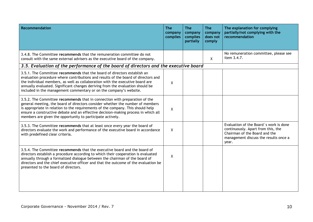| <b>Recommendation</b>                                                                                                                                                                                                                                                                                                                                                                                   | <b>The</b><br>company<br>complies | <b>The</b><br>company<br>complies<br>partially | <b>The</b><br>company<br>does not<br>comply | The explanation for complying<br>partially/not complying with the<br>recommendation                                                                             |
|---------------------------------------------------------------------------------------------------------------------------------------------------------------------------------------------------------------------------------------------------------------------------------------------------------------------------------------------------------------------------------------------------------|-----------------------------------|------------------------------------------------|---------------------------------------------|-----------------------------------------------------------------------------------------------------------------------------------------------------------------|
| 3.4.8. The Committee recommends that the remuneration committee do not<br>consult with the same external advisers as the executive board of the company.                                                                                                                                                                                                                                                |                                   |                                                | $\mathsf{X}$                                | No remuneration committee, please see<br>item 3.4.7.                                                                                                            |
| 3.5. Evaluation of the performance of the board of directors and the executive board                                                                                                                                                                                                                                                                                                                    |                                   |                                                |                                             |                                                                                                                                                                 |
| 3.5.1. The Committee recommends that the board of directors establish an<br>evaluation procedure where contributions and results of the board of directors and<br>the individual members, as well as collaboration with the executive board are<br>annually evaluated. Significant changes deriving from the evaluation should be<br>included in the management commentary or on the company's website. | X                                 |                                                |                                             |                                                                                                                                                                 |
| 3.5.2. The Committee recommends that in connection with preparation of the<br>general meeting, the board of directors consider whether the number of members<br>is appropriate in relation to the requirements of the company. This should help<br>ensure a constructive debate and an effective decision-making process in which all<br>members are given the opportunity to participate actively.     | X                                 |                                                |                                             |                                                                                                                                                                 |
| 3.5.3. The Committee recommends that at least once every year the board of<br>directors evaluate the work and performance of the executive board in accordance<br>with predefined clear criteria.                                                                                                                                                                                                       | $\mathsf{X}$                      |                                                |                                             | Evaluation of the Board's work is done<br>continuously. Apart from this, the<br>Chairman of the Board and the<br>management discuss the results once a<br>year. |
| 3.5.4. The Committee recommends that the executive board and the board of<br>directors establish a procedure according to which their cooperation is evaluated<br>annually through a formalized dialogue between the chairman of the board of<br>directors and the chief executive officer and that the outcome of the evaluation be<br>presented to the board of directors.                            | $\mathsf{X}$                      |                                                |                                             |                                                                                                                                                                 |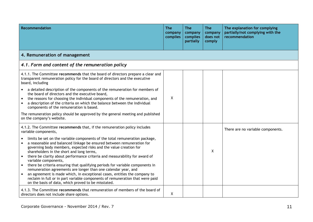| <b>Recommendation</b>                                                                                                                                                                                                                                                                                                                                                                                                                                                                                                                                                                                                                                                                                                                                                                                    | <b>The</b><br>company<br>complies | <b>The</b><br>company<br>complies<br>partially | <b>The</b><br>company<br>does not<br>comply | The explanation for complying<br>partially/not complying with the<br>recommendation |  |
|----------------------------------------------------------------------------------------------------------------------------------------------------------------------------------------------------------------------------------------------------------------------------------------------------------------------------------------------------------------------------------------------------------------------------------------------------------------------------------------------------------------------------------------------------------------------------------------------------------------------------------------------------------------------------------------------------------------------------------------------------------------------------------------------------------|-----------------------------------|------------------------------------------------|---------------------------------------------|-------------------------------------------------------------------------------------|--|
| 4. Remuneration of management                                                                                                                                                                                                                                                                                                                                                                                                                                                                                                                                                                                                                                                                                                                                                                            |                                   |                                                |                                             |                                                                                     |  |
| 4.1. Form and content of the remuneration policy                                                                                                                                                                                                                                                                                                                                                                                                                                                                                                                                                                                                                                                                                                                                                         |                                   |                                                |                                             |                                                                                     |  |
| 4.1.1. The Committee recommends that the board of directors prepare a clear and<br>transparent remuneration policy for the board of directors and the executive<br>board, including                                                                                                                                                                                                                                                                                                                                                                                                                                                                                                                                                                                                                      |                                   |                                                |                                             |                                                                                     |  |
| a detailed description of the components of the remuneration for members of<br>the board of directors and the executive board,<br>the reasons for choosing the individual components of the remuneration, and<br>a description of the criteria on which the balance between the individual<br>components of the remuneration is based.                                                                                                                                                                                                                                                                                                                                                                                                                                                                   | X                                 |                                                |                                             |                                                                                     |  |
| The remuneration policy should be approved by the general meeting and published<br>on the company's website.                                                                                                                                                                                                                                                                                                                                                                                                                                                                                                                                                                                                                                                                                             |                                   |                                                |                                             |                                                                                     |  |
| 4.1.2. The Committee recommends that, if the remuneration policy includes<br>variable components,                                                                                                                                                                                                                                                                                                                                                                                                                                                                                                                                                                                                                                                                                                        |                                   |                                                |                                             | There are no variable components.                                                   |  |
| limits be set on the variable components of the total remuneration package,<br>a reasonable and balanced linkage be ensured between remuneration for<br>$\bullet$<br>governing body members, expected risks and the value creation for<br>shareholders in the short and long terms,<br>there be clarity about performance criteria and measurability for award of<br>$\bullet$<br>variable components,<br>there be criteria ensuring that qualifying periods for variable components in<br>$\bullet$<br>remuneration agreements are longer than one calendar year, and<br>an agreement is made which, in exceptional cases, entitles the company to<br>$\bullet$<br>reclaim in full or in part variable components of remuneration that were paid<br>on the basis of data, which proved to be misstated. |                                   |                                                | X                                           |                                                                                     |  |
| 4.1.3. The Committee recommends that remuneration of members of the board of<br>directors does not include share options.                                                                                                                                                                                                                                                                                                                                                                                                                                                                                                                                                                                                                                                                                | X                                 |                                                |                                             |                                                                                     |  |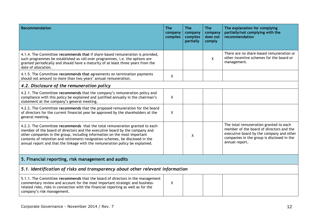| <b>Recommendation</b>                                                                                                                                                                                                                                                                                                                                                                                     | <b>The</b><br>company<br>complies | <b>The</b><br>company<br>complies<br>partially | <b>The</b><br>company<br>does not<br>comply | The explanation for complying<br>partially/not complying with the<br>recommendation                                                                                                            |  |
|-----------------------------------------------------------------------------------------------------------------------------------------------------------------------------------------------------------------------------------------------------------------------------------------------------------------------------------------------------------------------------------------------------------|-----------------------------------|------------------------------------------------|---------------------------------------------|------------------------------------------------------------------------------------------------------------------------------------------------------------------------------------------------|--|
| 4.1.4. The Committee recommends that if share-based remuneration is provided,<br>such programmes be established as roll-over programmes, i.e. the options are<br>granted periodically and should have a maturity of at least three years from the<br>date of allocation.                                                                                                                                  |                                   |                                                | X                                           | There are no share-based remuneration or<br>other incentive schemes for the board or<br>management.                                                                                            |  |
| 4.1.5. The Committee recommends that agreements on termination payments<br>should not amount to more than two years' annual remuneration.                                                                                                                                                                                                                                                                 | X                                 |                                                |                                             |                                                                                                                                                                                                |  |
| 4.2. Disclosure of the remuneration policy                                                                                                                                                                                                                                                                                                                                                                |                                   |                                                |                                             |                                                                                                                                                                                                |  |
| 4.2.1. The Committee recommends that the company's remuneration policy and<br>compliance with this policy be explained and justified annually in the chairman's<br>statement at the company's general meeting.                                                                                                                                                                                            | X                                 |                                                |                                             |                                                                                                                                                                                                |  |
| 4.2.2. The Committee recommends that the proposed remuneration for the board<br>of directors for the current financial year be approved by the shareholders at the<br>general meeting.                                                                                                                                                                                                                    | X                                 |                                                |                                             |                                                                                                                                                                                                |  |
| 4.2.3. The Committee recommends that the total remuneration granted to each<br>member of the board of directors and the executive board by the company and<br>other companies in the group, including information on the most important<br>contents of retention and retirement/resignation schemes, be disclosed in the<br>annual report and that the linkage with the remuneration policy be explained. |                                   | X                                              |                                             | The total remuneration granted to each<br>member of the board of directors and the<br>executive board by the company and other<br>companies in the group is disclosed in the<br>annual report. |  |
| 5. Financial reporting, risk management and audits                                                                                                                                                                                                                                                                                                                                                        |                                   |                                                |                                             |                                                                                                                                                                                                |  |
| 5.1. Identification of risks and transparency about other relevant information                                                                                                                                                                                                                                                                                                                            |                                   |                                                |                                             |                                                                                                                                                                                                |  |
| 5.1.1. The Committee recommends that the board of directors in the management<br>commentary review and account for the most important strategic and business-<br>related risks, risks in connection with the financial reporting as well as for the<br>company's risk management.                                                                                                                         | X                                 |                                                |                                             |                                                                                                                                                                                                |  |